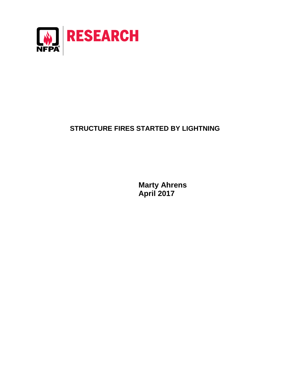

# **STRUCTURE FIRES STARTED BY LIGHTNING**

**Marty Ahrens April 2017**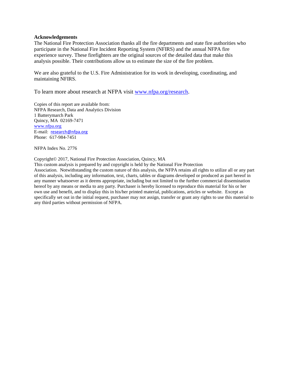#### **Acknowledgements**

The National Fire Protection Association thanks all the fire departments and state fire authorities who participate in the National Fire Incident Reporting System (NFIRS) and the annual NFPA fire experience survey. These firefighters are the original sources of the detailed data that make this analysis possible. Their contributions allow us to estimate the size of the fire problem.

We are also grateful to the U.S. Fire Administration for its work in developing, coordinating, and maintaining NFIRS.

To learn more about research at NFPA visit [www.nfpa.org/research.](http://www.nfpa.org/research)

Copies of this report are available from: NFPA Research, Data and Analytics Division 1 Batterymarch Park Quincy, MA 02169-7471 [www.nfpa.org](http://www.nfpa.org/) E-mail: [research@nfpa.org](mailto:research@nfpa.org) Phone: 617-984-7451

NFPA Index No. 2776

#### Copyright© 2017, National Fire Protection Association, Quincy, MA

This custom analysis is prepared by and copyright is held by the National Fire Protection Association. Notwithstanding the custom nature of this analysis, the NFPA retains all rights to utilize all or any part of this analysis, including any information, text, charts, tables or diagrams developed or produced as part hereof in any manner whatsoever as it deems appropriate, including but not limited to the further commercial dissemination hereof by any means or media to any party. Purchaser is hereby licensed to reproduce this material for his or her own use and benefit, and to display this in his/her printed material, publications, articles or website. Except as specifically set out in the initial request, purchaser may not assign, transfer or grant any rights to use this material to any third parties without permission of NFPA.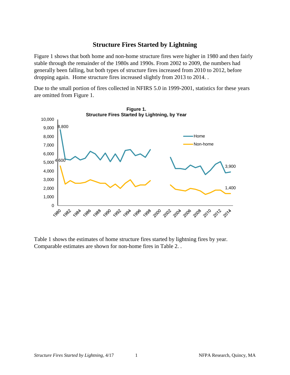# **Structure Fires Started by Lightning**

Figure 1 shows that both home and non-home structure fires were higher in 1980 and then fairly stable through the remainder of the 1980s and 1990s. From 2002 to 2009, the numbers had generally been falling, but both types of structure fires increased from 2010 to 2012, before dropping again. Home structure fires increased slightly from 2013 to 2014. .

Due to the small portion of fires collected in NFIRS 5.0 in 1999-2001, statistics for these years are omitted from Figure 1.



Table 1 shows the estimates of home structure fires started by lightning fires by year. Comparable estimates are shown for non-home fires in Table 2. .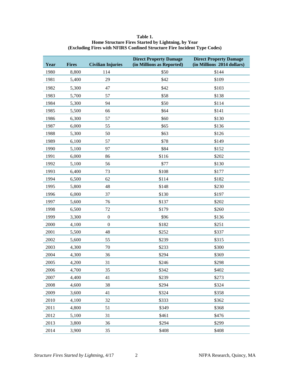| Year | <b>Fires</b> | <b>Civilian Injuries</b> | <b>Direct Property Damage</b><br>(in Millions as Reported) | <b>Direct Property Damage</b><br>(in Millions 2014 dollars) |
|------|--------------|--------------------------|------------------------------------------------------------|-------------------------------------------------------------|
| 1980 | 8,800        | 114                      | \$50                                                       | \$144                                                       |
| 1981 | 5,400        | 29                       | \$42                                                       | \$109                                                       |
| 1982 | 5,300        | 47                       | \$42                                                       | \$103                                                       |
| 1983 | 5,700        | 57                       | \$58                                                       | \$138                                                       |
| 1984 | 5,300        | 94                       | \$50                                                       | \$114                                                       |
| 1985 | 5,500        | 66                       | \$64                                                       | \$141                                                       |
| 1986 | 6,300        | 57                       | \$60                                                       | \$130                                                       |
| 1987 | 6,000        | 55                       | \$65                                                       | \$136                                                       |
| 1988 | 5,300        | 50                       | \$63                                                       | \$126                                                       |
| 1989 | 6,100        | 57                       | \$78                                                       | \$149                                                       |
| 1990 | 5,100        | 97                       | \$84                                                       | \$152                                                       |
| 1991 | 6,000        | 86                       | \$116                                                      | \$202                                                       |
| 1992 | 5,100        | 56                       | \$77                                                       | \$130                                                       |
| 1993 | 6,400        | 73                       | \$108                                                      | \$177                                                       |
| 1994 | 6,500        | 62                       | \$114                                                      | \$182                                                       |
| 1995 | 5,800        | 48                       | \$148                                                      | \$230                                                       |
| 1996 | 6,000        | 37                       | \$130                                                      | \$197                                                       |
| 1997 | 5,600        | 76                       | \$137                                                      | \$202                                                       |
| 1998 | 6,500        | $72\,$                   | \$179                                                      | \$260                                                       |
| 1999 | 3,300        | $\boldsymbol{0}$         | \$96                                                       | \$136                                                       |
| 2000 | 4,100        | $\boldsymbol{0}$         | \$182                                                      | \$251                                                       |
| 2001 | 5,500        | 48                       | \$252                                                      | \$337                                                       |
| 2002 | 5,600        | 55                       | \$239                                                      | \$315                                                       |
| 2003 | 4,300        | $70\,$                   | \$233                                                      | \$300                                                       |
| 2004 | 4,300        | 36                       | \$294                                                      | \$369                                                       |
| 2005 | 4,200        | 31                       | \$246                                                      | \$298                                                       |
| 2006 | 4,700        | 35                       | \$342                                                      | \$402                                                       |
| 2007 | 4,400        | 41                       | \$239                                                      | \$273                                                       |
| 2008 | 4,600        | 38                       | \$294                                                      | \$324                                                       |
| 2009 | 3,600        | 41                       | \$324                                                      | \$358                                                       |
| 2010 | 4,100        | 32                       | \$333                                                      | \$362                                                       |
| 2011 | 4,800        | 51                       | \$349                                                      | \$368                                                       |
| 2012 | 5,100        | 31                       | \$461                                                      | \$476                                                       |
| 2013 | 3,800        | 36                       | \$294                                                      | \$299                                                       |
| 2014 | 3,900        | 35                       | \$408                                                      | \$408                                                       |

#### **Table 1. Home Structure Fires Started by Lightning, by Year (Excluding Fires with NFIRS Confined Structure Fire Incident Type Codes)**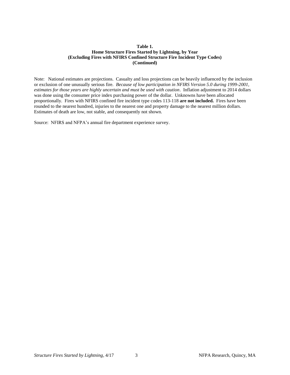#### **Table 1. Home Structure Fires Started by Lightning, by Year (Excluding Fires with NFIRS Confined Structure Fire Incident Type Codes) (Continued)**

Note: National estimates are projections. Casualty and loss projections can be heavily influenced by the inclusion or exclusion of one unusually serious fire. *Because of low participation in NFIRS Version 5.0 during 1999-2001, estimates for those years are highly uncertain and must be used with caution*. Inflation adjustment to 2014 dollars was done using the consumer price index purchasing power of the dollar. Unknowns have been allocated proportionally. Fires with NFIRS confined fire incident type codes 113-118 **are not included.** Fires have been rounded to the nearest hundred, injuries to the nearest one and property damage to the nearest million dollars. Estimates of death are low, not stable, and consequently not shown.

Source: NFIRS and NFPA's annual fire department experience survey.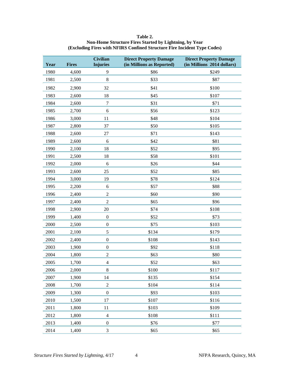| Table 2.                                                                 |
|--------------------------------------------------------------------------|
| Non-Home Structure Fires Started by Lightning, by Year                   |
| (Excluding Fires with NFIRS Confined Structure Fire Incident Type Codes) |

| Year | <b>Fires</b> | <b>Civilian</b><br><b>Injuries</b> | <b>Direct Property Damage</b><br>(in Millions as Reported) | <b>Direct Property Damage</b><br>(in Millions 2014 dollars) |
|------|--------------|------------------------------------|------------------------------------------------------------|-------------------------------------------------------------|
| 1980 | 4,600        | 9                                  | \$86                                                       | \$249                                                       |
| 1981 | 2,500        | $8\,$                              | \$33                                                       | \$87                                                        |
| 1982 | 2,900        | 32                                 | \$41                                                       | \$100                                                       |
| 1983 | 2,600        | 18                                 | \$45                                                       | \$107                                                       |
| 1984 | 2,600        | $\boldsymbol{7}$                   | \$31                                                       | \$71                                                        |
| 1985 | 2,700        | 6                                  | \$56                                                       | \$123                                                       |
| 1986 | 3,000        | 11                                 | \$48                                                       | \$104                                                       |
| 1987 | 2,800        | 37                                 | \$50                                                       | \$105                                                       |
| 1988 | 2,600        | 27                                 | \$71                                                       | \$143                                                       |
| 1989 | 2,600        | 6                                  | \$42                                                       | \$81                                                        |
| 1990 | 2,100        | 18                                 | \$52                                                       | \$95                                                        |
| 1991 | 2,500        | 18                                 | \$58                                                       | \$101                                                       |
| 1992 | 2,000        | 6                                  | \$26                                                       | \$44                                                        |
| 1993 | 2,600        | 25                                 | \$52                                                       | \$85                                                        |
| 1994 | 3,000        | 19                                 | \$78                                                       | \$124                                                       |
| 1995 | 2,200        | $\epsilon$                         | \$57                                                       | \$88                                                        |
| 1996 | 2,400        | $\overline{2}$                     | \$60                                                       | \$90                                                        |
| 1997 | 2,400        | $\boldsymbol{2}$                   | \$65                                                       | \$96                                                        |
| 1998 | 2,900        | 20                                 | \$74                                                       | \$108                                                       |
| 1999 | 1,400        | $\boldsymbol{0}$                   | \$52                                                       | \$73                                                        |
| 2000 | 2,500        | $\boldsymbol{0}$                   | \$75                                                       | \$103                                                       |
| 2001 | 2,100        | 5                                  | \$134                                                      | \$179                                                       |
| 2002 | 2,400        | $\boldsymbol{0}$                   | \$108                                                      | \$143                                                       |
| 2003 | 1,900        | $\boldsymbol{0}$                   | \$92                                                       | \$118                                                       |
| 2004 | 1,800        | $\sqrt{2}$                         | \$63                                                       | \$80                                                        |
| 2005 | 1,700        | $\overline{4}$                     | \$52                                                       | \$63                                                        |
| 2006 | 2,000        | 8                                  | \$100                                                      | \$117                                                       |
| 2007 | 1,900        | 14                                 | \$135                                                      | \$154                                                       |
| 2008 | 1,700        | $\sqrt{2}$                         | \$104                                                      | \$114                                                       |
| 2009 | 1,300        | $\boldsymbol{0}$                   | \$93                                                       | \$103                                                       |
| 2010 | 1,500        | 17                                 | \$107                                                      | \$116                                                       |
| 2011 | 1,800        | 11                                 | \$103                                                      | \$109                                                       |
| 2012 | 1,800        | $\overline{4}$                     | \$108                                                      | \$111                                                       |
| 2013 | 1,400        | $\boldsymbol{0}$                   | \$76                                                       | \$77                                                        |
| 2014 | 1,400        | 3                                  | \$65                                                       | \$65                                                        |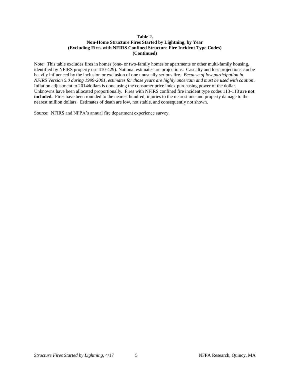#### **Table 2. Non-Home Structure Fires Started by Lightning, by Year (Excluding Fires with NFIRS Confined Structure Fire Incident Type Codes) (Continued)**

Note: This table excludes fires in homes (one- or two-family homes or apartments or other multi-family housing, identified by NFIRS property use 410-429). National estimates are projections. Casualty and loss projections can be heavily influenced by the inclusion or exclusion of one unusually serious fire. *Because of low participation in NFIRS Version 5.0 during 1999-2001, estimates for those years are highly uncertain and must be used with caution*. Inflation adjustment to 2014dollars is done using the consumer price index purchasing power of the dollar. Unknowns have been allocated proportionally. Fires with NFIRS confined fire incident type codes 113-118 **are not included.** Fires have been rounded to the nearest hundred, injuries to the nearest one and property damage to the nearest million dollars. Estimates of death are low, not stable, and consequently not shown.

Source: NFIRS and NFPA's annual fire department experience survey.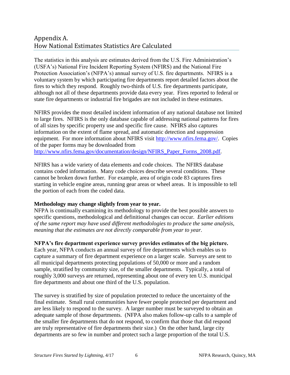# Appendix A. How National Estimates Statistics Are Calculated

The statistics in this analysis are estimates derived from the U.S. Fire Administration's (USFA's) National Fire Incident Reporting System (NFIRS) and the National Fire Protection Association's (NFPA's) annual survey of U.S. fire departments. NFIRS is a voluntary system by which participating fire departments report detailed factors about the fires to which they respond. Roughly two-thirds of U.S. fire departments participate, although not all of these departments provide data every year. Fires reported to federal or state fire departments or industrial fire brigades are not included in these estimates.

NFIRS provides the most detailed incident information of any national database not limited to large fires. NFIRS is the only database capable of addressing national patterns for fires of all sizes by specific property use and specific fire cause. NFIRS also captures information on the extent of flame spread, and automatic detection and suppression equipment. For more information about NFIRS visit [http://www.nfirs.fema.gov/.](http://www.nfirs.fema.gov/) Copies of the paper forms may be downloaded from [http://www.nfirs.fema.gov/documentation/design/NFIRS\\_Paper\\_Forms\\_2008.pdf.](http://www.nfirs.fema.gov/documentation/design/NFIRS_Paper_Forms_2008.pdf)

NFIRS has a wide variety of data elements and code choices. The NFIRS database contains coded information. Many code choices describe several conditions. These cannot be broken down further. For example, area of origin code 83 captures fires starting in vehicle engine areas, running gear areas or wheel areas. It is impossible to tell the portion of each from the coded data.

# **Methodology may change slightly from year to year.**

NFPA is continually examining its methodology to provide the best possible answers to specific questions, methodological and definitional changes can occur. *Earlier editions of the same report may have used different methodologies to produce the same analysis, meaning that the estimates are not directly comparable from year to year.* 

# **NFPA's fire department experience survey provides estimates of the big picture.**

Each year, NFPA conducts an annual survey of fire departments which enables us to capture a summary of fire department experience on a larger scale. Surveys are sent to all municipal departments protecting populations of 50,000 or more and a random sample, stratified by community size, of the smaller departments. Typically, a total of roughly 3,000 surveys are returned, representing about one of every ten U.S. municipal fire departments and about one third of the U.S. population.

The survey is stratified by size of population protected to reduce the uncertainty of the final estimate. Small rural communities have fewer people protected per department and are less likely to respond to the survey. A larger number must be surveyed to obtain an adequate sample of those departments. (NFPA also makes follow-up calls to a sample of the smaller fire departments that do not respond, to confirm that those that did respond are truly representative of fire departments their size.) On the other hand, large city departments are so few in number and protect such a large proportion of the total U.S.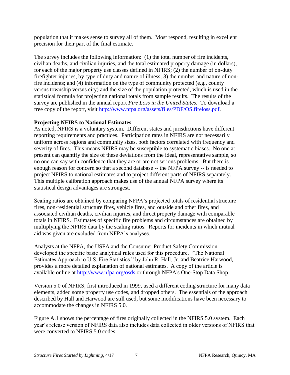population that it makes sense to survey all of them. Most respond, resulting in excellent precision for their part of the final estimate.

The survey includes the following information: (1) the total number of fire incidents, civilian deaths, and civilian injuries, and the total estimated property damage (in dollars), for each of the major property use classes defined in NFIRS; (2) the number of on-duty firefighter injuries, by type of duty and nature of illness; 3) the number and nature of nonfire incidents; and (4) information on the type of community protected (e.g., county versus township versus city) and the size of the population protected, which is used in the statistical formula for projecting national totals from sample results. The results of the survey are published in the annual report *Fire Loss in the United States*. To download a free copy of the report, visit [http://www.nfpa.org/assets/files/PDF/OS.fireloss.pdf.](http://www.nfpa.org/assets/files/PDF/OS.fireloss.pdf)

# **Projecting NFIRS to National Estimates**

As noted, NFIRS is a voluntary system. Different states and jurisdictions have different reporting requirements and practices. Participation rates in NFIRS are not necessarily uniform across regions and community sizes, both factors correlated with frequency and severity of fires. This means NFIRS may be susceptible to systematic biases. No one at present can quantify the size of these deviations from the ideal, representative sample, so no one can say with confidence that they are or are not serious problems. But there is enough reason for concern so that a second database -- the NFPA survey -- is needed to project NFIRS to national estimates and to project different parts of NFIRS separately. This multiple calibration approach makes use of the annual NFPA survey where its statistical design advantages are strongest.

Scaling ratios are obtained by comparing NFPA's projected totals of residential structure fires, non-residential structure fires, vehicle fires, and outside and other fires, and associated civilian deaths, civilian injuries, and direct property damage with comparable totals in NFIRS. Estimates of specific fire problems and circumstances are obtained by multiplying the NFIRS data by the scaling ratios. Reports for incidents in which mutual aid was given are excluded from NFPA's analyses.

Analysts at the NFPA, the USFA and the Consumer Product Safety Commission developed the specific basic analytical rules used for this procedure. "The National Estimates Approach to U.S. Fire Statistics," by John R. Hall, Jr. and Beatrice Harwood, provides a more detailed explanation of national estimates. A copy of the article is available online at<http://www.nfpa.org/osds> or through NFPA's One-Stop Data Shop.

Version 5.0 of NFIRS, first introduced in 1999, used a different coding structure for many data elements, added some property use codes, and dropped others. The essentials of the approach described by Hall and Harwood are still used, but some modifications have been necessary to accommodate the changes in NFIRS 5.0.

Figure A.1 shows the percentage of fires originally collected in the NFIRS 5.0 system. Each year's release version of NFIRS data also includes data collected in older versions of NFIRS that were converted to NFIRS 5.0 codes.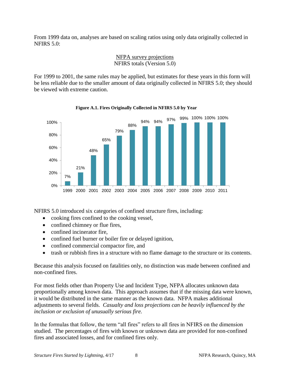From 1999 data on, analyses are based on scaling ratios using only data originally collected in NFIRS 5.0:

# NFPA survey projections NFIRS totals (Version 5.0)

For 1999 to 2001, the same rules may be applied, but estimates for these years in this form will be less reliable due to the smaller amount of data originally collected in NFIRS 5.0; they should be viewed with extreme caution.



**Figure A.1. Fires Originally Collected in NFIRS 5.0 by Year**

NFIRS 5.0 introduced six categories of confined structure fires, including:

- cooking fires confined to the cooking vessel,
- confined chimney or flue fires.
- confined incinerator fire,
- confined fuel burner or boiler fire or delayed ignition,
- confined commercial compactor fire, and
- trash or rubbish fires in a structure with no flame damage to the structure or its contents.

Because this analysis focused on fatalities only, no distinction was made between confined and non-confined fires.

For most fields other than Property Use and Incident Type, NFPA allocates unknown data proportionally among known data. This approach assumes that if the missing data were known, it would be distributed in the same manner as the known data. NFPA makes additional adjustments to several fields. *Casualty and loss projections can be heavily influenced by the inclusion or exclusion of unusually serious fire.* 

In the formulas that follow, the term "all fires" refers to all fires in NFIRS on the dimension studied. The percentages of fires with known or unknown data are provided for non-confined fires and associated losses, and for confined fires only.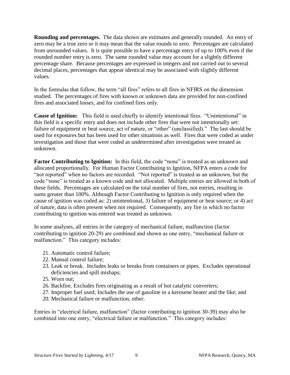**Rounding and percentages.** The data shown are estimates and generally rounded. An entry of zero may be a true zero or it may mean that the value rounds to zero. Percentages are calculated from unrounded values. It is quite possible to have a percentage entry of up to 100% even if the rounded number entry is zero. The same rounded value may account for a slightly different percentage share. Because percentages are expressed in integers and not carried out to several decimal places, percentages that appear identical may be associated with slightly different values.

In the formulas that follow, the term "all fires" refers to all fires in NFIRS on the dimension studied. The percentages of fires with known or unknown data are provided for non-confined fires and associated losses, and for confined fires only.

**Cause of Ignition:** This field is used chiefly to identify intentional fires. "Unintentional" in this field is a specific entry and does not include other fires that were not intentionally set: failure of equipment or heat source, act of nature, or "other" (unclassified)." The last should be used for exposures but has been used for other situations as well. Fires that were coded as under investigation and those that were coded as undetermined after investigation were treated as unknown.

Factor Contributing to Ignition: In this field, the code "none" is treated as an unknown and allocated proportionally. For Human Factor Contributing to Ignition, NFPA enters a code for "not reported" when no factors are recorded. "Not reported" is treated as an unknown, but the code "none" is treated as a known code and not allocated. Multiple entries are allowed in both of these fields. Percentages are calculated on the total number of fires, not entries, resulting in sums greater than 100%. Although Factor Contributing to Ignition is only required when the cause of ignition was coded as: 2) unintentional, 3) failure of equipment or heat source; or 4) act of nature, data is often present when not required. Consequently, any fire in which no factor contributing to ignition was entered was treated as unknown.

In some analyses, all entries in the category of mechanical failure, malfunction (factor contributing to ignition 20-29) are combined and shown as one entry, "mechanical failure or malfunction." This category includes:

- 21. Automatic control failure;
- 22. Manual control failure;
- 23. Leak or break. Includes leaks or breaks from containers or pipes. Excludes operational deficiencies and spill mishaps;
- 25. Worn out;
- 26. Backfire. Excludes fires originating as a result of hot catalytic converters;
- 27. Improper fuel used; Includes the use of gasoline in a kerosene heater and the like; and
- 20. Mechanical failure or malfunction, other.

Entries in "electrical failure, malfunction" (factor contributing to ignition 30-39) may also be combined into one entry, "electrical failure or malfunction." This category includes: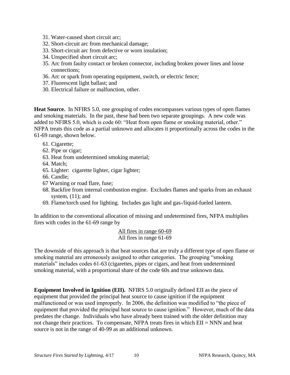- 31. Water-caused short circuit arc;
- 32. Short-circuit arc from mechanical damage;
- 33. Short-circuit arc from defective or worn insulation;
- 34. Unspecified short circuit arc;
- 35. Arc from faulty contact or broken connector, including broken power lines and loose connections;
- 36. Arc or spark from operating equipment, switch, or electric fence;
- 37. Fluorescent light ballast; and
- 30. Electrical failure or malfunction, other.

**Heat Source.** In NFIRS 5.0, one grouping of codes encompasses various types of open flames and smoking materials. In the past, these had been two separate groupings. A new code was added to NFIRS 5.0, which is code 60: "Heat from open flame or smoking material, other." NFPA treats this code as a partial unknown and allocates it proportionally across the codes in the 61-69 range, shown below.

- 61. Cigarette;
- 62. Pipe or cigar;
- 63. Heat from undetermined smoking material;
- 64. Match;
- 65. Lighter: cigarette lighter, cigar lighter;
- 66. Candle;
- 67 Warning or road flare, fuse;
- 68. Backfire from internal combustion engine. Excludes flames and sparks from an exhaust system,  $(11)$ ; and
- 69. Flame/torch used for lighting. Includes gas light and gas-/liquid-fueled lantern.

In addition to the conventional allocation of missing and undetermined fires, NFPA multiplies fires with codes in the 61-69 range by

> All fires in range 60-69 All fires in range 61-69

The downside of this approach is that heat sources that are truly a different type of open flame or smoking material are erroneously assigned to other categories. The grouping "smoking materials" includes codes 61-63 (cigarettes, pipes or cigars, and heat from undetermined smoking material, with a proportional share of the code 60s and true unknown data.

**Equipment Involved in Ignition (EII).** NFIRS 5.0 originally defined EII as the piece of equipment that provided the principal heat source to cause ignition if the equipment malfunctioned or was used improperly. In 2006, the definition was modified to "the piece of equipment that provided the principal heat source to cause ignition." However, much of the data predates the change. Individuals who have already been trained with the older definition may not change their practices. To compensate, NFPA treats fires in which EII = NNN and heat source is not in the range of 40-99 as an additional unknown.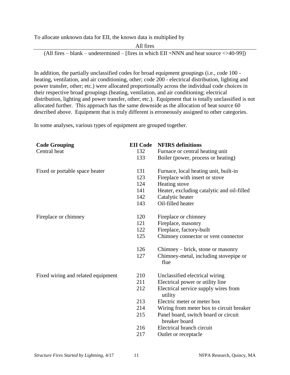To allocate unknown data for EII, the known data is multiplied by



In addition, the partially unclassified codes for broad equipment groupings (i.e., code 100 heating, ventilation, and air conditioning, other; code 200 - electrical distribution, lighting and power transfer, other; etc.) were allocated proportionally across the individual code choices in their respective broad groupings (heating, ventilation, and air conditioning; electrical distribution, lighting and power transfer, other; etc.). Equipment that is totally unclassified is not allocated further. This approach has the same downside as the allocation of heat source 60 described above. Equipment that is truly different is erroneously assigned to other categories.

In some analyses, various types of equipment are grouped together.

| <b>Code Grouping</b>               | <b>EII</b> Code | <b>NFIRS</b> definitions                              |
|------------------------------------|-----------------|-------------------------------------------------------|
| Central heat                       | 132             | Furnace or central heating unit                       |
|                                    | 133             | Boiler (power, process or heating)                    |
| Fixed or portable space heater     | 131             | Furnace, local heating unit, built-in                 |
|                                    | 123             | Fireplace with insert or stove                        |
|                                    | 124             | Heating stove                                         |
|                                    | 141             | Heater, excluding catalytic and oil-filled            |
|                                    | 142             | Catalytic heater                                      |
|                                    | 143             | Oil-filled heater                                     |
| Fireplace or chimney               | 120             | Fireplace or chimney                                  |
|                                    | 121             | Fireplace, masonry                                    |
|                                    | 122             | Fireplace, factory-built                              |
|                                    | 125             | Chimney connector or vent connector                   |
|                                    | 126             | Chimney – brick, stone or masonry                     |
|                                    | 127             | Chimney-metal, including stovepipe or<br>flue         |
| Fixed wiring and related equipment | 210             | Unclassified electrical wiring                        |
|                                    | 211             | Electrical power or utility line                      |
|                                    | 212             | Electrical service supply wires from<br>utility       |
|                                    | 213             | Electric meter or meter box                           |
|                                    | 214             | Wiring from meter box to circuit breaker              |
|                                    | 215             | Panel board, switch board or circuit<br>breaker board |
|                                    | 216             | Electrical branch circuit                             |
|                                    | 217             | Outlet or receptacle                                  |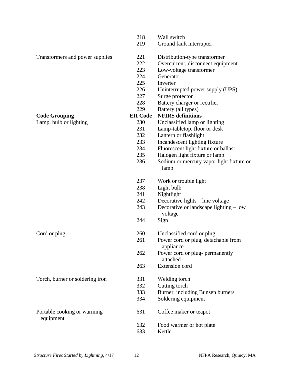|                                          | 218             | Wall switch                                       |
|------------------------------------------|-----------------|---------------------------------------------------|
|                                          | 219             | Ground fault interrupter                          |
| Transformers and power supplies          | 221             | Distribution-type transformer                     |
|                                          | 222             | Overcurrent, disconnect equipment                 |
|                                          | 223             | Low-voltage transformer                           |
|                                          | 224             | Generator                                         |
|                                          | 225             | Inverter                                          |
|                                          | 226             | Uninterrupted power supply (UPS)                  |
|                                          | 227             | Surge protector                                   |
|                                          | 228             | Battery charger or rectifier                      |
|                                          | 229             | Battery (all types)                               |
| <b>Code Grouping</b>                     | <b>EII</b> Code | <b>NFIRS</b> definitions                          |
| Lamp, bulb or lighting                   | 230             | Unclassified lamp or lighting                     |
|                                          | 231             | Lamp-tabletop, floor or desk                      |
|                                          | 232             | Lantern or flashlight                             |
|                                          | 233             | Incandescent lighting fixture                     |
|                                          | 234             | Fluorescent light fixture or ballast              |
|                                          | 235             | Halogen light fixture or lamp                     |
|                                          | 236             | Sodium or mercury vapor light fixture or<br>lamp  |
|                                          | 237             | Work or trouble light                             |
|                                          | 238             | Light bulb                                        |
|                                          | 241             | Nightlight                                        |
|                                          | 242             | Decorative lights – line voltage                  |
|                                          | 243             | Decorative or landscape lighting – low<br>voltage |
|                                          | 244             | Sign                                              |
| Cord or plug                             | 260             | Unclassified cord or plug                         |
|                                          | 261             | Power cord or plug, detachable from<br>appliance  |
|                                          | 262             | Power cord or plug- permanently<br>attached       |
|                                          | 263             | <b>Extension</b> cord                             |
| Torch, burner or soldering iron          | 331             | Welding torch                                     |
|                                          | 332             | Cutting torch                                     |
|                                          | 333             | Burner, including Bunsen burners                  |
|                                          | 334             | Soldering equipment                               |
| Portable cooking or warming<br>equipment | 631             | Coffee maker or teapot                            |
|                                          | 632             | Food warmer or hot plate                          |
|                                          | 633             | Kettle                                            |